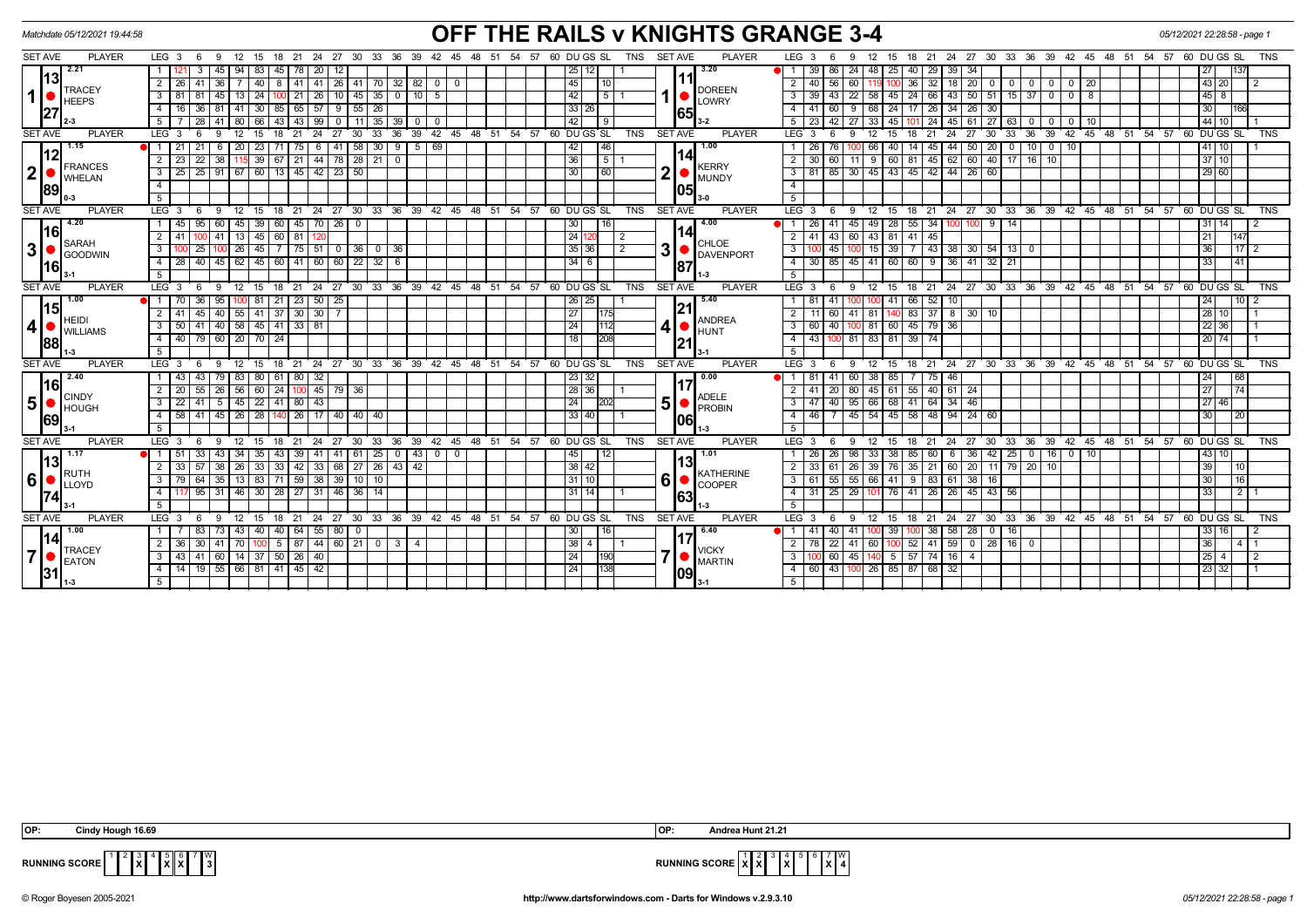|                      | Matchdate 05/12/2021 19:44:58 |                                                                                                                                    | OFF THE RAILS v KNIGHTS GRANGE 3-4                                                                                    | 05/12/2021 22:28:58 - page 1                                                                                                                                   |                                            |  |  |  |
|----------------------|-------------------------------|------------------------------------------------------------------------------------------------------------------------------------|-----------------------------------------------------------------------------------------------------------------------|----------------------------------------------------------------------------------------------------------------------------------------------------------------|--------------------------------------------|--|--|--|
| <b>SET AVE</b>       | <b>PLAYER</b>                 | $LEG_36$<br>9 12                                                                                                                   | 15 18 21 24 27 30 33 36 39 42 45 48 51 54 57 60 DUGS SL<br>TNS SET AVE<br><b>PLAYER</b>                               | LEG <sub>3</sub><br>12 15 18 21 24 27 30 33 36 39 42 45 48 51 54 57 60 DUGS SL<br>6<br>9                                                                       | TNS                                        |  |  |  |
| 13<br>1 <sup>1</sup> | 12.21                         | 83 <br>45   94<br>20<br>3<br>45   78  <br>1   121                                                                                  | 3.20<br>25 12                                                                                                         | 39 86 24 48 25<br>40   29   39  <br>$1 -$<br>-34                                                                                                               | 27<br>137                                  |  |  |  |
|                      |                               | $2 \mid 26 \mid$<br>40<br>$26$   41   70   32   82   0<br>41<br>-36 I<br>8   41   41                                               | 45<br>10<br>$\mathbf{0}$                                                                                              | $\overline{2}$<br>40 56<br>$36 \mid 32 \mid 18 \mid 20 \mid 0$ 0 0 0 0 0 0 20<br>60   119                                                                      | 43 20<br>$\overline{2}$                    |  |  |  |
|                      | <b>TRACEY</b><br><b>HEEPS</b> | 35<br>24<br>26<br>$10$   45<br>3   81  <br>81<br>45   13<br>100 21<br>0 1 10 1                                                     | <b>DOREEN</b><br>42<br>5 <sub>1</sub><br>-5<br>LOWRY                                                                  | $22$   58  <br>43<br>$50$   51   15   37   0   0<br>$\mathbf{3}$<br>39 I<br>43<br>45<br>24 66<br>8                                                             | 45 8                                       |  |  |  |
|                      | 27                            | 36 <sup>1</sup><br>30<br>85   65  <br>57<br>55<br>26<br>4<br>81<br>l 41<br>9                                                       | 33 26<br>165                                                                                                          | 34<br>$\overline{4}$<br>60<br>9<br>68<br>24<br>-26<br>26 I<br>30                                                                                               | 30 <sup>°</sup><br>166                     |  |  |  |
|                      |                               | 28<br>99<br>$11$   35  <br>5 I<br>66<br>  43  <br>-41<br>l 80 l<br>43<br>$\cdot$ 0 $\cdot$<br>39 I<br>$\overline{\mathbf{0}}$      | 42<br>$\overline{9}$                                                                                                  | 5<br>42 I<br>  24   45   61<br>  27   63  <br>l 23 l<br>27   33  <br>45<br>$^{\circ}$<br>-10<br>$\overline{\mathbf{0}}$<br>$\Omega$                            | $144$ 10                                   |  |  |  |
| <b>SET AVE</b>       | <b>PLAYER</b>                 | LEG <sub>3</sub><br>15<br>24<br>27<br>30<br>33<br>36<br>39<br>6<br>$\mathbf{Q}$<br>12<br>18<br>21                                  | 60 DU GS SL<br><b>TNS</b><br><b>SET AVE</b><br>42 45 48 51<br>54 57<br><b>PLAYER</b>                                  | LEG <sub>3</sub><br>24<br>27<br>30<br>33<br>36<br>39<br>- 6<br>12<br>15<br>18<br>21<br><b>q</b>                                                                | 42 45 48 51 54 57 60 DUGS SL<br><b>TNS</b> |  |  |  |
|                      | 1.15                          | 21<br>23<br>41<br>58<br>30<br>5<br>20<br>75<br>9                                                                                   | 46<br>1.00<br>69<br>42                                                                                                | $50 \mid 20$<br>40<br>44<br>$\mathbf 0$<br>10 <sup>1</sup><br>10<br>-26<br>76<br>45<br>$^{\circ}$                                                              | 41   10                                    |  |  |  |
|                      | 12<br>FRANCES                 | 22<br>39<br>$2 \mid 23$<br>44<br>78   28   21  <br>38<br>121<br>67<br>$\Omega$                                                     | 36<br>1511<br><b>KERRY</b>                                                                                            | $\overline{2}$<br>81   45   62   60   40   17   16   10<br>30<br>60<br>11 9 60 1                                                                               | 37 10                                      |  |  |  |
| 2  <sub>o</sub>      | <b>WHELAN</b>                 | 25<br>60<br>$\boxed{13}$ $\boxed{45}$<br>42<br>$\overline{\mathbf{3}}$<br>$\sqrt{25}$<br>91   67<br>$23 \mid 50$                   | 2<br>30<br>60<br><b>MUNDY</b>                                                                                         | 85<br>$30 \mid 45 \mid 43 \mid$<br>45 42 44 26 60<br>$\overline{3}$                                                                                            | 29 60                                      |  |  |  |
|                      | 89                            | $\overline{4}$                                                                                                                     | 105I                                                                                                                  | $\overline{4}$                                                                                                                                                 |                                            |  |  |  |
|                      |                               | 5                                                                                                                                  | $3-0$                                                                                                                 | 5                                                                                                                                                              |                                            |  |  |  |
| <b>SET AVE</b>       | <b>PLAYER</b>                 | 9 12 15 18 21 24 27 30 33 36 39 42 45 48 51 54 57 60 DUGS SL<br>LEG 3<br>- 6                                                       | <b>PLAYER</b><br><b>TNS</b><br><b>SET AVE</b>                                                                         | $LEG_3$ 6<br>9 12 15 18 21 24 27 30 33 36 39 42 45 48 51 54 57 60 DUGS SL                                                                                      | <b>TNS</b>                                 |  |  |  |
|                      | 4.20                          | 95<br> 39 <br>60 45 70 26 0<br>1   45  <br>60   45                                                                                 | 16<br>4.00<br>30 <sub>1</sub>                                                                                         | 45 49 28 55 34 100<br>26 41<br>$100$ 9 14                                                                                                                      | 31   14  <br>$\frac{12}{2}$                |  |  |  |
|                      | l16<br><b>SARAH</b>           | 45<br>$2 \mid 41$<br>$\overline{13}$<br>60 81<br>41                                                                                | 24 12<br>$\overline{2}$<br>CHLOE                                                                                      | 60 43 81<br>$41 \overline{)43}$<br>$-41$<br>45<br>2                                                                                                            | 21<br>147                                  |  |  |  |
| 3 <sup>1</sup>       | <b>GOODWIN</b>                | 3<br>25<br>45<br>$7$   75   51<br>$\boxed{0}$ $\boxed{36}$<br>$100$ 26<br>$\mathbf{0}$<br>36                                       | 3<br>$35 \mid 36$<br>$\overline{2}$<br><b>DAVENPORT</b>                                                               | $\overline{3}$<br>45<br>39<br>43 38 30 54 13 0<br>15 I                                                                                                         | 36<br>$17$   2                             |  |  |  |
|                      | <b>16</b>                     | $40$ $45$ $62$ $45$ $60$ $41$ $60$ $60$ $22$ $32$ $6$<br>4   28                                                                    | 346<br>187                                                                                                            | 1 30 1 85 1 45 1 41 1 60 1 60 1 9 1 36 1 41 1 32 1 21<br>$\overline{4}$                                                                                        | 33<br>41                                   |  |  |  |
|                      |                               | 5                                                                                                                                  | $1-3$                                                                                                                 | 5                                                                                                                                                              |                                            |  |  |  |
| <b>SET AVE</b>       | <b>PLAYER</b>                 | LEG <sup>3</sup><br>9 12 15 18 21 24 27 30 33 36 39 42 45 48 51 54 57 60 DUGS SL<br>- 6                                            | <b>PLAYER</b><br><b>TNS</b><br><b>SET AVE</b>                                                                         | 12 15 18 21 24 27 30 33 36 39 42 45 48 51 54 57 60 DUGS SL<br>LEG <sub>3</sub><br>- 6<br>- 9                                                                   | <b>TNS</b>                                 |  |  |  |
|                      | 1.00<br><u> 15</u>            | 23 <br>$\overline{1}$<br>l 70<br>36<br>81<br>50 <sub>1</sub><br>21<br>-25                                                          | 5.40<br>$26$   25<br>121                                                                                              | 41<br>-41<br>66   52  <br>10                                                                                                                                   | 24<br>$10$   2                             |  |  |  |
|                      | <b>HEIDI</b>                  | $\overline{30}$<br>$2 \mid 41$<br>45<br>40<br>55<br>41<br>37<br> 30                                                                | $\overline{27}$<br><b>ANDREA</b>                                                                                      | 83<br>$37$ 8 30 10<br>2<br>60<br>41<br>81                                                                                                                      | $\overline{28}$                            |  |  |  |
| 4 <sup>1</sup>       | <b>WILLIAMS</b>               | 40 58 45 41 33 81<br>$3 \mid 50 \mid$<br>41                                                                                        | 4<br>$\overline{24}$<br>112<br><b>HUNT</b>                                                                            | $\overline{\mathbf{3}}$<br>60 40<br>100 81 60 45 79 36                                                                                                         | $\boxed{22}$ 36                            |  |  |  |
|                      | 88                            | $\overline{70}$<br>$\overline{79}$<br>24<br>$4 \mid 40 \mid$                                                                       | 18<br>208<br> 21                                                                                                      | $\overline{4}$<br>$43\overline{1}$<br>$81$ 83 81<br>$39$   74<br>100                                                                                           | 20<br>74                                   |  |  |  |
|                      |                               | 5                                                                                                                                  | $3 - 1$                                                                                                               | 5                                                                                                                                                              |                                            |  |  |  |
| <b>SET AVE</b>       | <b>PLAYER</b>                 | 9 12 15 18 21 24 27 30 33 36 39 42 45 48 51 54 57 60 DUGS SL<br>LEG <sub>3</sub><br>- 6                                            | <b>TNS</b><br><b>PLAYER</b><br><b>SET AVE</b>                                                                         | LEG <sub>3</sub><br>9 12 15 18 21 24 27 30 33 36 39 42 45 48 51 54 57 60 DUGS SL<br>- 6                                                                        | <b>TNS</b>                                 |  |  |  |
|                      | 2.40<br>116<br><b>CINDY</b>   | 32<br>43<br>80<br>$61$ 80<br>1   43<br>79<br>  83                                                                                  | 0.00<br>23 32                                                                                                         | 41<br>60 38 85<br>7 75 46<br>l 1.                                                                                                                              | 68<br>24                                   |  |  |  |
|                      |                               | 24 100 45 79 36<br>$2 \mid 20$<br>55<br>$26$ 56<br>60<br>$5 \mid 45 \mid 22 \mid 41 \mid 80 \mid$                                  | $28 \overline{)36}$                                                                                                   | 80 45 61 55 40 61 24<br>$\overline{2}$<br>20                                                                                                                   | 74<br> 27                                  |  |  |  |
| 5 <sup>1</sup>       | <b>HOUGH</b>                  | $\sqrt{43}$<br>$3 \mid 22$<br>41<br>$\overline{28}$<br>$45$ 26<br>$\overline{17}$<br>$\overline{4}$<br>$\overline{58}$<br>41<br>26 | ADELE<br>PROBIN<br>5<br>24<br>202                                                                                     | 47 40 95 66 68 41 64 34 46<br>$\overline{\mathbf{3}}$<br>$\overline{4}$<br>46<br>$45 \mid 54 \mid$<br>45<br>$58$   48   94  <br>$\overline{7}$<br>$24 \mid 60$ | 27 46                                      |  |  |  |
|                      | 69                            | 40   40  <br>40<br>5                                                                                                               | 33 40<br><b>1061</b><br>$1 - 3$                                                                                       |                                                                                                                                                                | 30<br>20                                   |  |  |  |
| <b>SET AVE</b>       | <b>PLAYER</b>                 | LEG <sub>3</sub><br>33<br>12<br>18<br>21<br>24<br>27<br>30<br>36<br>6<br>-9<br>15                                                  | 39 42 45 48 51<br>60 DU GS SL<br><b>TNS</b><br><b>SET AVE</b><br><b>PLAYER</b><br>54 57                               | LEG <sub>3</sub><br>21 24 27 30 33 36 39<br>12<br>15<br>- 6<br>18<br>9                                                                                         | 42 45 48 51 54 57 60 DUGS SL<br><b>TNS</b> |  |  |  |
|                      | 1.17                          | 25<br>33<br>34<br>35<br>39<br>41<br>61<br>43<br>$\bullet$ i 1<br>41<br>$\mathbf 0$                                                 | 1.01<br>45<br>12<br>$\Omega$<br>$\mathbf{0}$                                                                          | 36 42<br>25<br>$0 \mid 10$<br>-26<br>26<br>33<br>38<br>85<br>  60  <br>6<br>$\overline{0}$<br>16 I                                                             | 43 10                                      |  |  |  |
|                      | <b>13</b>                     | 33<br> 33 <br>68   27   26   43   42<br>57<br>33   42 <br>$2 \mid 33 \mid$<br>38 26                                                | 13<br>38 42                                                                                                           | 33   61   26   39   76   35   21   60   20   11   79   20   10<br>2                                                                                            | 39<br>10                                   |  |  |  |
| 6                    | RUTH                          | 83<br>38<br>64<br>$35$ 13<br>$\overline{59}$<br>39<br>10<br>$3 \mid 79$<br>71<br> 10                                               | <b>KATHERINE</b><br>6<br>31 10                                                                                        | $\overline{3}$<br>55<br>55   66   41<br>9   83   61<br>$38 \mid 16$<br>61                                                                                      | 16<br>30                                   |  |  |  |
|                      | <b>LLOYD</b><br>74            | $\overline{4}$<br>95<br>30 <sup>1</sup><br>46<br>14<br>31<br>l 46<br>28   27  <br>l 31<br>36                                       | <b>COOPER</b><br>31 14                                                                                                | $\overline{4}$<br>29   101   76<br>$45 \mid 43 \mid 56$<br>-31<br>25<br>41<br>  26   26                                                                        | 33<br>2 <sub>1</sub>                       |  |  |  |
|                      |                               | 5                                                                                                                                  | 63<br>$1 - 3$                                                                                                         |                                                                                                                                                                |                                            |  |  |  |
| <b>SET AVE</b>       | <b>PLAYER</b>                 | LEG <sub>3</sub><br>24<br>30<br>33<br>36<br>6<br>9<br>12<br>15<br>18<br>21<br>27                                                   | $39 \t 42 \t 45$<br>$\overline{48}$<br>60 DU GS SL<br><b>TNS</b><br><b>SET AVE</b><br><b>PLAYER</b><br>51<br>54<br>57 | LEG <sub>3</sub><br>24<br>$^{\circ}$ 27<br>30<br>33<br>$36 \quad 39$<br>$42 \quad 45 \quad 48$<br>51<br>12<br>15<br>18<br>21<br>- 6<br>9                       | 54<br>57<br>60 DU GS SL<br><b>TNS</b>      |  |  |  |
|                      | 1.00                          | 83<br>40<br>55<br>-80 I<br>-43<br>40<br>64<br>$\mathbf{0}$                                                                         | 6.40<br>30<br>16                                                                                                      | $-58$<br>28<br>39<br>38 <sup>1</sup><br>16<br>$\mathbf{0}$                                                                                                     | 33<br>16                                   |  |  |  |
|                      | <b>I14</b>                    | $ 44 $ 60   21   0<br>$2 \mid 36$<br>30<br>41 70<br>$5 \mid 87$<br>$3 \mid 4$<br>100                                               | $38 \mid 4$                                                                                                           | $52$   41   59  <br>$0$   28   16   0<br>$\overline{2}$<br>$\overline{22}$<br>78<br>41   60  <br>100                                                           | 36<br>$4 \mid 1$                           |  |  |  |
| $\overline{7}$       | TRACEY                        | 41<br>3   43<br>60   14  <br>37<br>50   26<br>40                                                                                   | <b>VICKY</b><br>7<br>24<br>190                                                                                        | 60<br>45   140   5   57   74   16  <br>3                                                                                                                       | 25 4<br>2                                  |  |  |  |
|                      | <b>EATON</b><br> 31 <br>11-3  | 4   14   19   55   66   81   41   45   42                                                                                          | <b>MARTIN</b><br>24<br>138                                                                                            | 4 60 43 100 26 85 87 68 32                                                                                                                                     | 23 32                                      |  |  |  |
|                      |                               | $5\vert$                                                                                                                           | 09<br>$13-1$                                                                                                          | 5 <sup>1</sup>                                                                                                                                                 |                                            |  |  |  |

**X** 5 **X X** W

$$
\frac{1}{3}
$$
 **subning** score  $\begin{bmatrix} x \\ x \end{bmatrix} \begin{bmatrix} 2 & 3 & 4 & 5 & 6 & 7 & 9 \\ x & 1 & 4 & 8 & 4 \end{bmatrix}$ 

**RUNNING SCORE**  $\begin{bmatrix} 1 \\ 1 \end{bmatrix}$ 

© Roger Boyesen 2005-2021 **http://www.dartsforwindows.com - Darts for Windows v.2.9.3.10** *05/12/2021 22:28:58 - page 1*